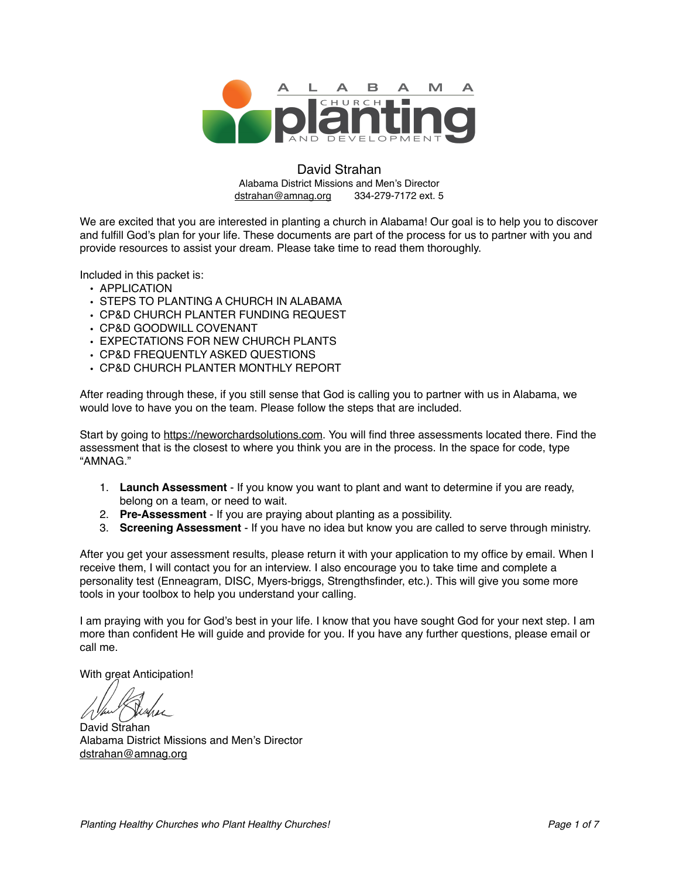

#### David Strahan Alabama District Missions and Men's Director [dstrahan@amnag.org](mailto:dstrahan@amnag.org) 334-279-7172 ext. 5

We are excited that you are interested in planting a church in Alabama! Our goal is to help you to discover and fulfill God's plan for your life. These documents are part of the process for us to partner with you and provide resources to assist your dream. Please take time to read them thoroughly.

Included in this packet is:

- APPLICATION
- STEPS TO PLANTING A CHURCH IN ALABAMA
- CP&D CHURCH PLANTER FUNDING REQUEST
- CP&D GOODWILL COVENANT
- EXPECTATIONS FOR NEW CHURCH PLANTS
- CP&D FREQUENTLY ASKED QUESTIONS
- CP&D CHURCH PLANTER MONTHLY REPORT

After reading through these, if you still sense that God is calling you to partner with us in Alabama, we would love to have you on the team. Please follow the steps that are included.

Start by going to <https://neworchardsolutions.com>. You will find three assessments located there. Find the assessment that is the closest to where you think you are in the process. In the space for code, type "AMNAG."

- 1. **Launch Assessment** If you know you want to plant and want to determine if you are ready, belong on a team, or need to wait.
- 2. **Pre-Assessment** If you are praying about planting as a possibility.
- 3. **Screening Assessment** If you have no idea but know you are called to serve through ministry.

After you get your assessment results, please return it with your application to my office by email. When I receive them, I will contact you for an interview. I also encourage you to take time and complete a personality test (Enneagram, DISC, Myers-briggs, Strengthsfinder, etc.). This will give you some more tools in your toolbox to help you understand your calling.

I am praying with you for God's best in your life. I know that you have sought God for your next step. I am more than confident He will guide and provide for you. If you have any further questions, please email or call me.

With great Anticipation!

David Strahan Alabama District Missions and Men's Director [dstrahan@amnag.org](mailto:dstrahan@amnag.org)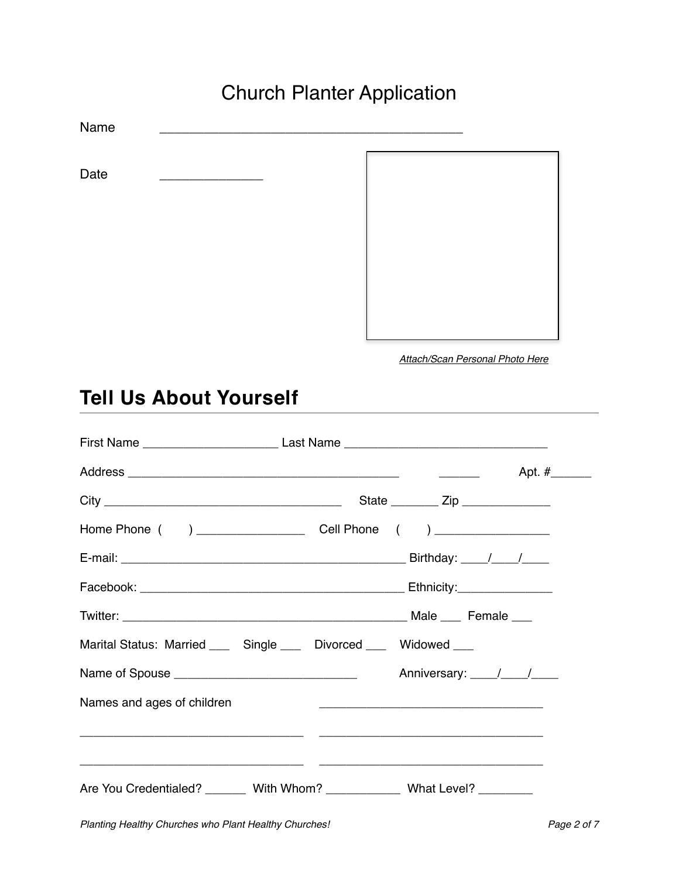# Church Planter Application

Name \_\_\_\_\_\_\_\_\_\_\_\_\_\_\_\_\_\_\_\_\_\_\_\_\_\_\_\_\_\_\_\_\_\_\_\_\_\_\_\_\_ Date

*Attach/Scan Personal Photo Here*

# **Tell Us About Yourself**

| First Name __________________________________Last Name __________________________ |                                                 |
|-----------------------------------------------------------------------------------|-------------------------------------------------|
|                                                                                   | Apt. #_______                                   |
|                                                                                   | State ___________ Zip __________________        |
|                                                                                   |                                                 |
|                                                                                   |                                                 |
|                                                                                   |                                                 |
|                                                                                   |                                                 |
| Marital Status: Married _____ Single ____ Divorced ____ Widowed ___               |                                                 |
|                                                                                   |                                                 |
| Names and ages of children                                                        | <u> 1989 - Johann John Stone, mars et al. (</u> |
|                                                                                   |                                                 |
|                                                                                   |                                                 |
| Are You Credentialed? _______ With Whom? _____________ What Level? ________       |                                                 |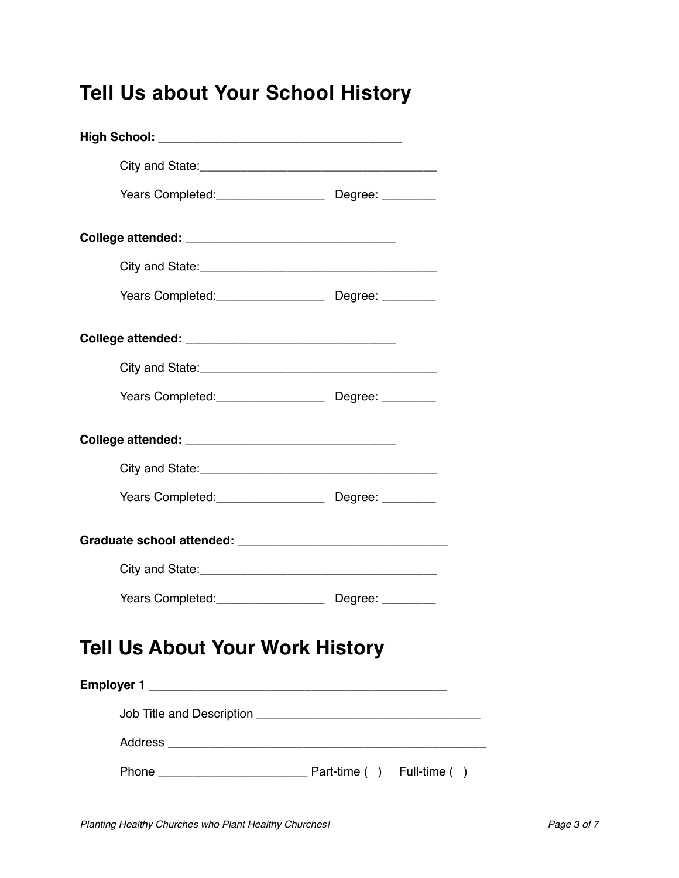# **Tell Us about Your School History**

|                                        | Years Completed: Degree: Degree: |
|----------------------------------------|----------------------------------|
|                                        |                                  |
|                                        |                                  |
|                                        |                                  |
|                                        |                                  |
|                                        |                                  |
|                                        |                                  |
| <b>Tell Us About Your Work History</b> |                                  |
|                                        |                                  |
|                                        |                                  |
|                                        |                                  |
|                                        |                                  |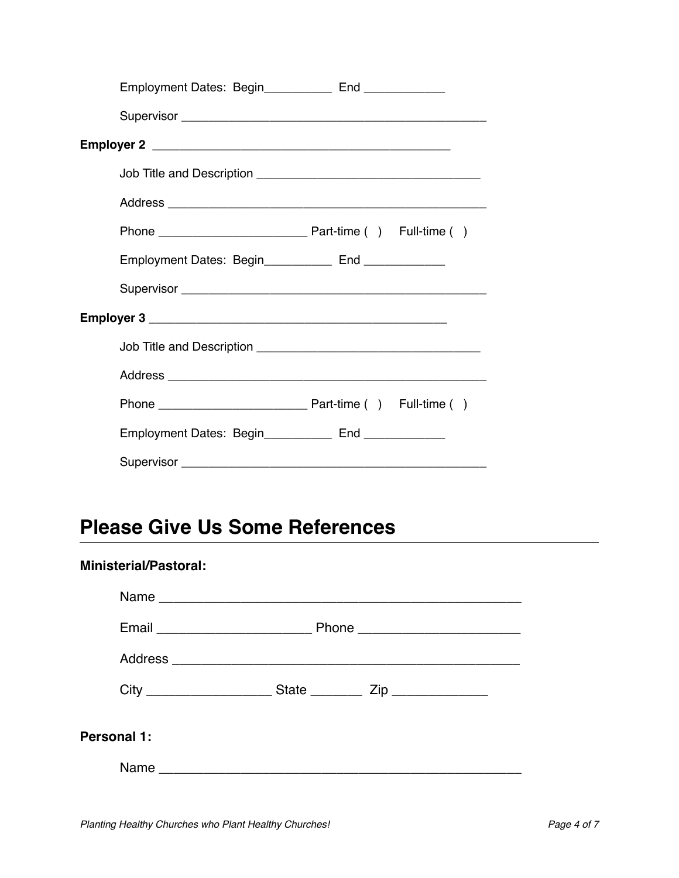| Employment Dates: Begin___________ End ___________       |  |
|----------------------------------------------------------|--|
|                                                          |  |
|                                                          |  |
|                                                          |  |
|                                                          |  |
|                                                          |  |
| Employment Dates: Begin______________ End ______________ |  |
|                                                          |  |
|                                                          |  |
|                                                          |  |
|                                                          |  |
|                                                          |  |
| Employment Dates: Begin_____________ End ______________  |  |
|                                                          |  |

# **Please Give Us Some References**

# **Ministerial/Pastoral:** Name \_\_\_\_\_\_\_\_\_\_\_\_\_\_\_\_\_\_\_\_\_\_\_\_\_\_\_\_\_\_\_\_\_\_\_\_\_\_\_\_\_\_\_\_\_\_\_\_\_ Email \_\_\_\_\_\_\_\_\_\_\_\_\_\_\_\_\_\_\_\_\_ Phone \_\_\_\_\_\_\_\_\_\_\_\_\_\_\_\_\_\_\_\_\_\_ Address \_\_\_\_\_\_\_\_\_\_\_\_\_\_\_\_\_\_\_\_\_\_\_\_\_\_\_\_\_\_\_\_\_\_\_\_\_\_\_\_\_\_\_\_\_\_\_ City \_\_\_\_\_\_\_\_\_\_\_\_\_\_\_\_\_ State \_\_\_\_\_\_\_ Zip \_\_\_\_\_\_\_\_\_\_\_\_\_ **Personal 1:** Name \_\_\_\_\_\_\_\_\_\_\_\_\_\_\_\_\_\_\_\_\_\_\_\_\_\_\_\_\_\_\_\_\_\_\_\_\_\_\_\_\_\_\_\_\_\_\_\_\_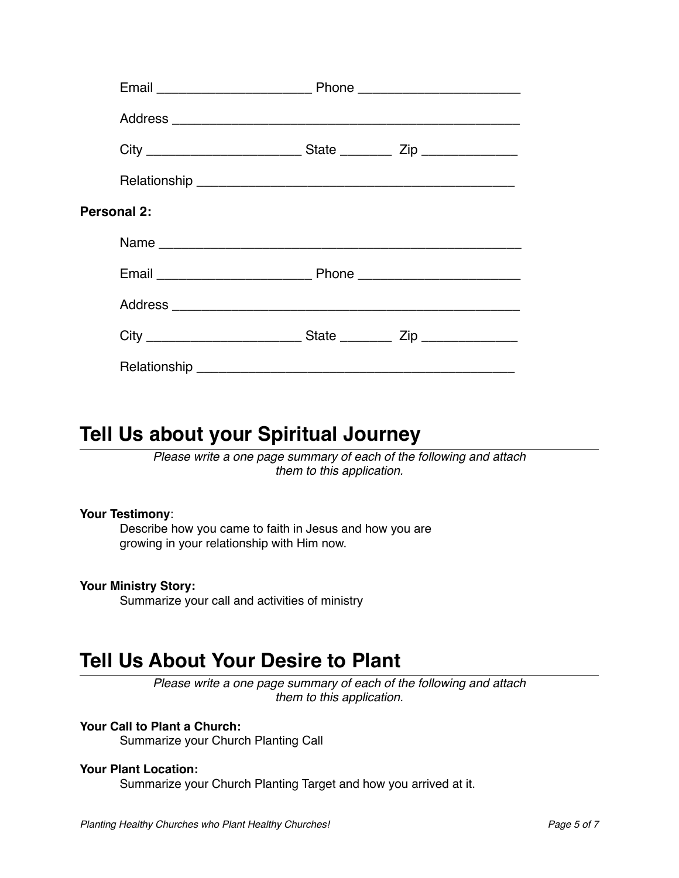| <b>Personal 2:</b> |  |
|--------------------|--|
|                    |  |
|                    |  |
|                    |  |
|                    |  |
|                    |  |

# **Tell Us about your Spiritual Journey**

*Please write a one page summary of each of the following and attach them to this application.*

#### **Your Testimony**:

Describe how you came to faith in Jesus and how you are growing in your relationship with Him now.

### **Your Ministry Story:**

Summarize your call and activities of ministry

# **Tell Us About Your Desire to Plant**

*Please write a one page summary of each of the following and attach them to this application.*

### **Your Call to Plant a Church:**

Summarize your Church Planting Call

#### **Your Plant Location:**

Summarize your Church Planting Target and how you arrived at it.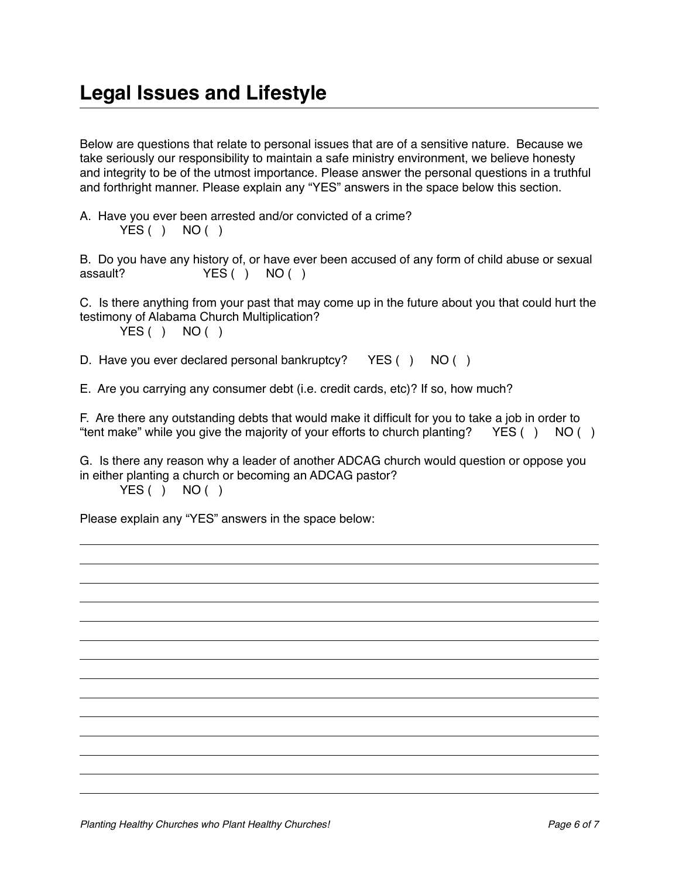Below are questions that relate to personal issues that are of a sensitive nature. Because we take seriously our responsibility to maintain a safe ministry environment, we believe honesty and integrity to be of the utmost importance. Please answer the personal questions in a truthful and forthright manner. Please explain any "YES" answers in the space below this section.

A. Have you ever been arrested and/or convicted of a crime?  $YES() NO()$ 

B. Do you have any history of, or have ever been accused of any form of child abuse or sexual assault? YES ( ) NO ( )

C. Is there anything from your past that may come up in the future about you that could hurt the testimony of Alabama Church Multiplication?

 $YES() NO()$ 

D. Have you ever declared personal bankruptcy? YES () NO ()

E. Are you carrying any consumer debt (i.e. credit cards, etc)? If so, how much?

F. Are there any outstanding debts that would make it difficult for you to take a job in order to "tent make" while you give the majority of your efforts to church planting? YES ( ) NO ( )

G. Is there any reason why a leader of another ADCAG church would question or oppose you in either planting a church or becoming an ADCAG pastor?  $YES() NO()$ 

Please explain any "YES" answers in the space below: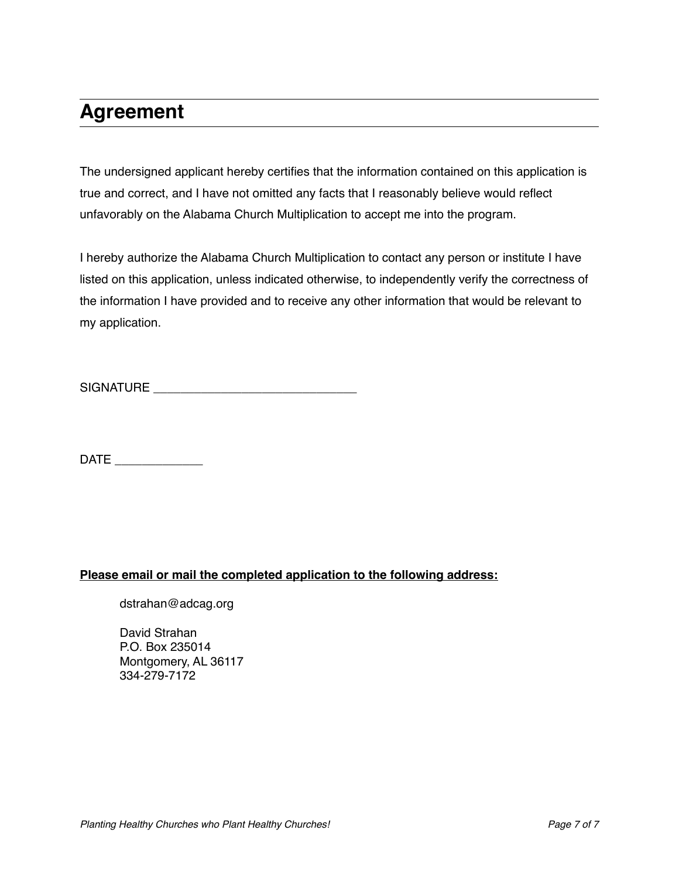# **Agreement**

The undersigned applicant hereby certifies that the information contained on this application is true and correct, and I have not omitted any facts that I reasonably believe would reflect unfavorably on the Alabama Church Multiplication to accept me into the program.

I hereby authorize the Alabama Church Multiplication to contact any person or institute I have listed on this application, unless indicated otherwise, to independently verify the correctness of the information I have provided and to receive any other information that would be relevant to my application.

SIGNATURE \_\_\_\_\_\_\_\_\_\_\_\_\_\_\_\_\_\_\_\_\_\_\_\_\_\_\_\_\_\_

DATE \_\_\_\_\_\_\_\_\_\_\_\_\_

### **Please email or mail the completed application to the following address:**

dstrahan@adcag.org

David Strahan P.O. Box 235014 Montgomery, AL 36117 334-279-7172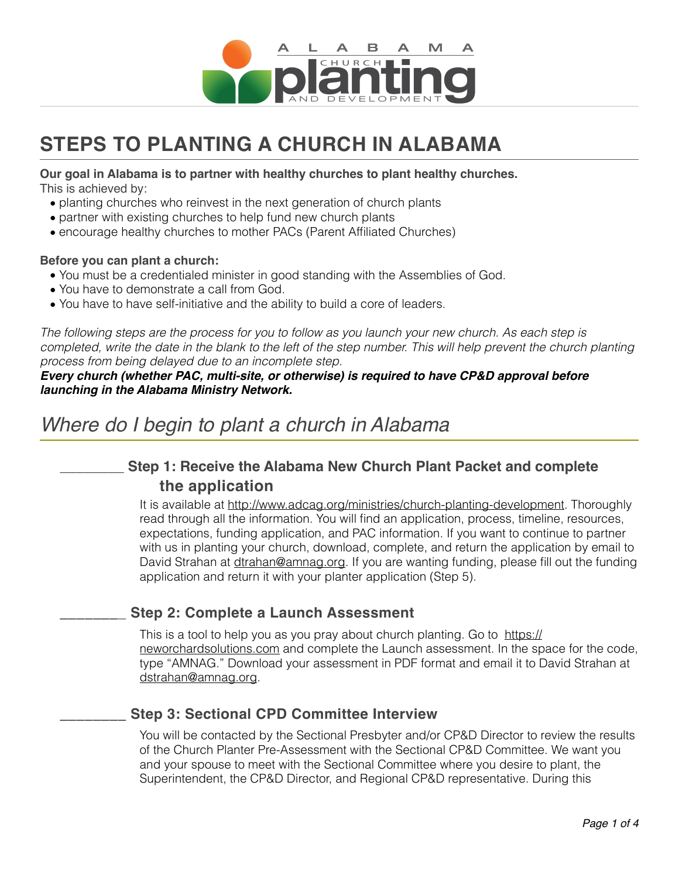

# **STEPS TO PLANTING A CHURCH IN ALABAMA**

### **Our goal in Alabama is to partner with healthy churches to plant healthy churches.**

This is achieved by:

- planting churches who reinvest in the next generation of church plants
- partner with existing churches to help fund new church plants
- encourage healthy churches to mother PACs (Parent Affiliated Churches)

### **Before you can plant a church:**

- You must be a credentialed minister in good standing with the Assemblies of God.
- You have to demonstrate a call from God.
- You have to have self-initiative and the ability to build a core of leaders.

*The following steps are the process for you to follow as you launch your new church. As each step is*  completed, write the date in the blank to the left of the step number. This will help prevent the church planting *process from being delayed due to an incomplete step.* 

*Every church (whether PAC, multi-site, or otherwise) is required to have CP&D approval before launching in the Alabama Ministry Network.*

# *Where do I begin to plant a church in Alabama*

# **\_\_\_\_\_\_\_\_ Step 1: Receive the Alabama New Church Plant Packet and complete the application**

It is available at<http://www.adcag.org/ministries/church-planting-development>. Thoroughly read through all the information. You will find an application, process, timeline, resources, expectations, funding application, and PAC information. If you want to continue to partner with us in planting your church, download, complete, and return the application by email to David Strahan at [dtrahan@amnag.org](mailto:dtrahan@amnag.org). If you are wanting funding, please fill out the funding application and return it with your planter application (Step 5).

## **\_\_\_\_\_\_\_\_ Step 2: Complete a Launch Assessment**

This is a tool to help you as you pray about church planting. Go to [https://](https://neworchardsolutions.com) [neworchardsolutions.com](https://neworchardsolutions.com) and complete the Launch assessment. In the space for the code, type "AMNAG." Download your assessment in PDF format and email it to David Strahan at [dstrahan@amnag.org.](mailto:dstrahan@amnag.org)

## **\_\_\_\_\_\_\_\_ Step 3: Sectional CPD Committee Interview**

You will be contacted by the Sectional Presbyter and/or CP&D Director to review the results of the Church Planter Pre-Assessment with the Sectional CP&D Committee. We want you and your spouse to meet with the Sectional Committee where you desire to plant, the Superintendent, the CP&D Director, and Regional CP&D representative. During this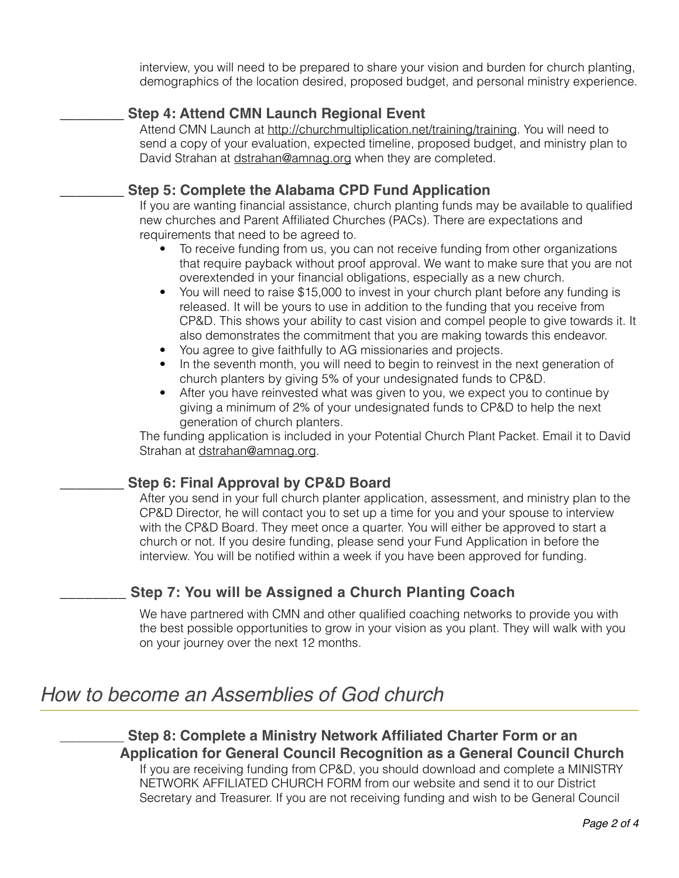interview, you will need to be prepared to share your vision and burden for church planting, demographics of the location desired, proposed budget, and personal ministry experience.

# **\_\_\_\_\_\_\_\_ Step 4: Attend CMN Launch Regional Event**

Attend CMN Launch at [http://churchmultiplication.net/training/](http://churchmultiplication.net)training. You will need to send a copy of your evaluation, expected timeline, proposed budget, and ministry plan to David Strahan at [dstrahan@amnag.org](mailto:dstrahan@amnag.org) when they are completed.

## **\_\_\_\_\_\_\_\_ Step 5: Complete the Alabama CPD Fund Application**

If you are wanting financial assistance, church planting funds may be available to qualified new churches and Parent Affiliated Churches (PACs). There are expectations and requirements that need to be agreed to.

- To receive funding from us, you can not receive funding from other organizations that require payback without proof approval. We want to make sure that you are not overextended in your financial obligations, especially as a new church.
- You will need to raise \$15,000 to invest in your church plant before any funding is released. It will be yours to use in addition to the funding that you receive from CP&D. This shows your ability to cast vision and compel people to give towards it. It also demonstrates the commitment that you are making towards this endeavor.
- You agree to give faithfully to AG missionaries and projects.
- In the seventh month, you will need to begin to reinvest in the next generation of church planters by giving 5% of your undesignated funds to CP&D.
- After you have reinvested what was given to you, we expect you to continue by giving a minimum of 2% of your undesignated funds to CP&D to help the next generation of church planters.

The funding application is included in your Potential Church Plant Packet. Email it to David Strahan at [dstrahan@amnag.org](mailto:dstrahan@amnag.org).

## **\_\_\_\_\_\_\_\_ Step 6: Final Approval by CP&D Board**

After you send in your full church planter application, assessment, and ministry plan to the CP&D Director, he will contact you to set up a time for you and your spouse to interview with the CP&D Board. They meet once a quarter. You will either be approved to start a church or not. If you desire funding, please send your Fund Application in before the interview. You will be notified within a week if you have been approved for funding.

# **\_\_\_\_\_\_\_\_ Step 7: You will be Assigned a Church Planting Coach**

We have partnered with CMN and other qualified coaching networks to provide you with the best possible opportunities to grow in your vision as you plant. They will walk with you on your journey over the next 12 months.

# *How to become an Assemblies of God church*

\_\_\_\_\_\_\_\_ **Step 8: Complete a Ministry Network Affiliated Charter Form or an Application for General Council Recognition as a General Council Church**  If you are receiving funding from CP&D, you should download and complete a MINISTRY NETWORK AFFILIATED CHURCH FORM from our website and send it to our District

Secretary and Treasurer. If you are not receiving funding and wish to be General Council

*Page 2 of 4*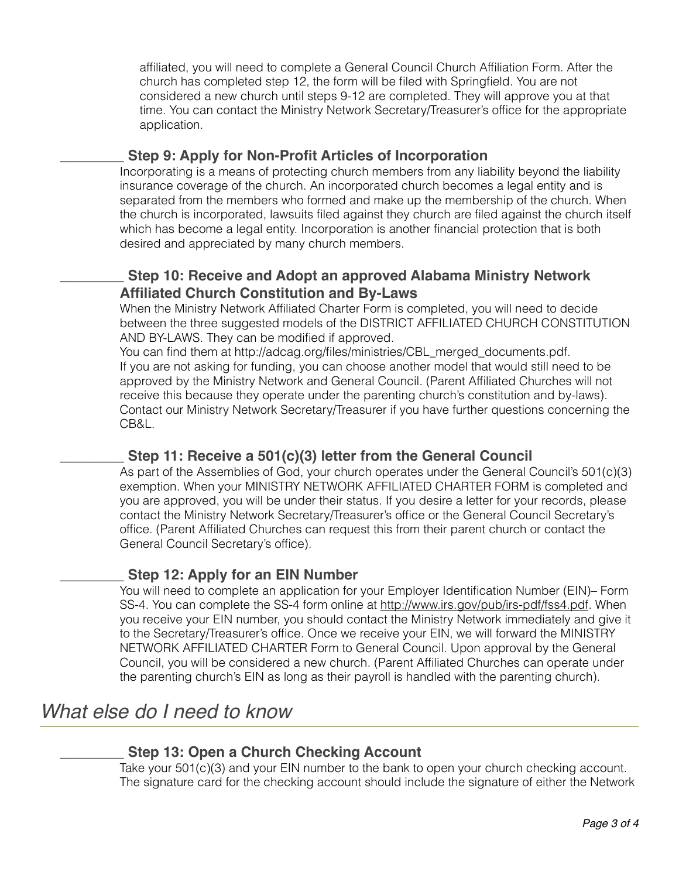affiliated, you will need to complete a General Council Church Affiliation Form. After the church has completed step 12, the form will be filed with Springfield. You are not considered a new church until steps 9-12 are completed. They will approve you at that time. You can contact the Ministry Network Secretary/Treasurer's office for the appropriate application.

## \_\_\_\_\_\_\_\_ **Step 9: Apply for Non-Profit Articles of Incorporation**

Incorporating is a means of protecting church members from any liability beyond the liability insurance coverage of the church. An incorporated church becomes a legal entity and is separated from the members who formed and make up the membership of the church. When the church is incorporated, lawsuits filed against they church are filed against the church itself which has become a legal entity. Incorporation is another financial protection that is both desired and appreciated by many church members.

# **\_\_\_\_\_\_\_\_ Step 10: Receive and Adopt an approved Alabama Ministry Network Affiliated Church Constitution and By-Laws**

When the Ministry Network Affiliated Charter Form is completed, you will need to decide between the three suggested models of the DISTRICT AFFILIATED CHURCH CONSTITUTION AND BY-LAWS. They can be modified if approved.

You can find them at [http://adcag.org/files/ministries/CBL\\_merged\\_documents.pdf.](http://adcag.org/files/ministries/CBL_merged_documents.pdf) If you are not asking for funding, you can choose another model that would still need to be approved by the Ministry Network and General Council. (Parent Affiliated Churches will not receive this because they operate under the parenting church's constitution and by-laws). Contact our Ministry Network Secretary/Treasurer if you have further questions concerning the CB&L.

# \_\_\_\_\_\_\_\_ **Step 11: Receive a 501(c)(3) letter from the General Council**

As part of the Assemblies of God, your church operates under the General Council's 501(c)(3) exemption. When your MINISTRY NETWORK AFFILIATED CHARTER FORM is completed and you are approved, you will be under their status. If you desire a letter for your records, please contact the Ministry Network Secretary/Treasurer's office or the General Council Secretary's office. (Parent Affiliated Churches can request this from their parent church or contact the General Council Secretary's office).

# \_\_\_\_\_\_\_\_ **Step 12: Apply for an EIN Number**

You will need to complete an application for your Employer Identification Number (EIN)– Form SS-4. You can complete the SS-4 form online at [http://www.irs.gov/pub/irs-pdf/fss4.pdf.](http://www.irs.gov/pub/irs-pdf/fss4.pdf) When you receive your EIN number, you should contact the Ministry Network immediately and give it to the Secretary/Treasurer's office. Once we receive your EIN, we will forward the MINISTRY NETWORK AFFILIATED CHARTER Form to General Council. Upon approval by the General Council, you will be considered a new church. (Parent Affiliated Churches can operate under the parenting church's EIN as long as their payroll is handled with the parenting church).

# *What else do I need to know*

# **\_\_\_\_\_\_\_\_ Step 13: Open a Church Checking Account**

Take your 501(c)(3) and your EIN number to the bank to open your church checking account. The signature card for the checking account should include the signature of either the Network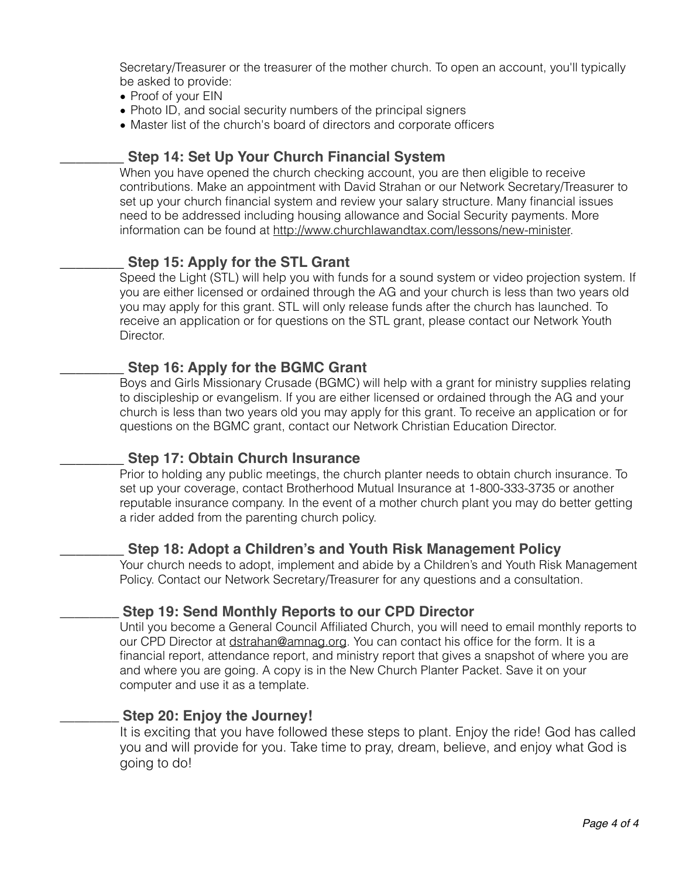Secretary/Treasurer or the treasurer of the mother church. To open an account, you'll typically be asked to provide:

- Proof of your EIN
- Photo ID, and social security numbers of the principal signers
- Master list of the church's board of directors and corporate officers

## \_\_\_\_\_\_\_\_ **Step 14: Set Up Your Church Financial System**

When you have opened the church checking account, you are then eligible to receive contributions. Make an appointment with David Strahan or our Network Secretary/Treasurer to set up your church financial system and review your salary structure. Many financial issues need to be addressed including housing allowance and Social Security payments. More information can be found at [http://www.churchlawandtax.com/lessons/new-minister.](http://www.churchlawandtax.com/lessons/new-minister)

## **\_\_\_\_\_\_\_\_ Step 15: Apply for the STL Grant**

Speed the Light (STL) will help you with funds for a sound system or video projection system. If you are either licensed or ordained through the AG and your church is less than two years old you may apply for this grant. STL will only release funds after the church has launched. To receive an application or for questions on the STL grant, please contact our Network Youth Director.

## **\_\_\_\_\_\_\_\_ Step 16: Apply for the BGMC Grant**

Boys and Girls Missionary Crusade (BGMC) will help with a grant for ministry supplies relating to discipleship or evangelism. If you are either licensed or ordained through the AG and your church is less than two years old you may apply for this grant. To receive an application or for questions on the BGMC grant, contact our Network Christian Education Director.

### **\_\_\_\_\_\_\_\_ Step 17: Obtain Church Insurance**

Prior to holding any public meetings, the church planter needs to obtain church insurance. To set up your coverage, contact Brotherhood Mutual Insurance at 1-800-333-3735 or another reputable insurance company. In the event of a mother church plant you may do better getting a rider added from the parenting church policy.

### \_\_\_\_\_\_\_\_ **Step 18: Adopt a Children's and Youth Risk Management Policy**

Your church needs to adopt, implement and abide by a Children's and Youth Risk Management Policy. Contact our Network Secretary/Treasurer for any questions and a consultation.

## \_\_\_\_\_\_\_\_ **Step 19: Send Monthly Reports to our CPD Director**

Until you become a General Council Affiliated Church, you will need to email monthly reports to our CPD Director at [dstrahan@amnag.org.](mailto:dstrahan@amnag.org) You can contact his office for the form. It is a financial report, attendance report, and ministry report that gives a snapshot of where you are and where you are going. A copy is in the New Church Planter Packet. Save it on your computer and use it as a template.

## \_\_\_\_\_\_\_\_ **Step 20: Enjoy the Journey!**

It is exciting that you have followed these steps to plant. Enjoy the ride! God has called you and will provide for you. Take time to pray, dream, believe, and enjoy what God is going to do!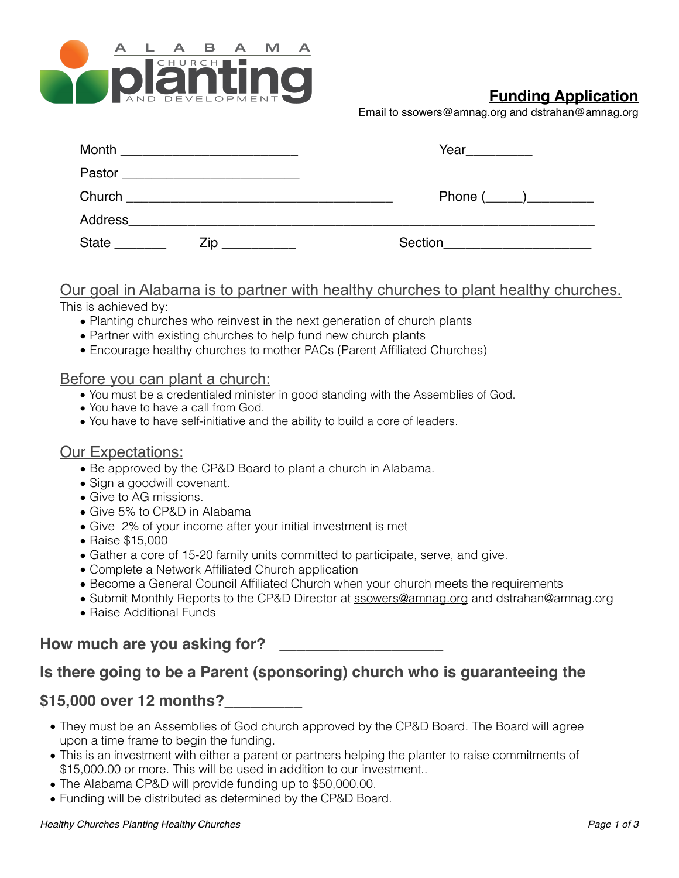

# **Funding Application**

Email to [ssowers@amnag.org](mailto:ssowers@amnag.org) and dstrahan@amnag.org

| Month        |     |                                                             |
|--------------|-----|-------------------------------------------------------------|
|              |     |                                                             |
|              |     | Phone $(\_\_\_\_\_\_\_\$                                    |
| Address      |     |                                                             |
| <b>State</b> | Zip | Section<br><u> 1980 - Jan Barnett, amerikansk politik (</u> |

## Our goal in Alabama is to partner with healthy churches to plant healthy churches. This is achieved by:

- - Planting churches who reinvest in the next generation of church plants
	- Partner with existing churches to help fund new church plants
	- Encourage healthy churches to mother PACs (Parent Affiliated Churches)

## Before you can plant a church:

- You must be a credentialed minister in good standing with the Assemblies of God.
- You have to have a call from God.
- You have to have self-initiative and the ability to build a core of leaders.

## Our Expectations:

- Be approved by the CP&D Board to plant a church in Alabama.
- Sign a goodwill covenant.
- Give to AG missions.
- Give 5% to CP&D in Alabama
- Give 2% of your income after your initial investment is met
- Raise \$15,000
- Gather a core of 15-20 family units committed to participate, serve, and give.
- Complete a Network Affiliated Church application
- Become a General Council Affiliated Church when your church meets the requirements
- Submit Monthly Reports to the CP&D Director at [ssowers@amnag.org](mailto:ssowers@amnag.org) and dstrahan@amnag.org
- Raise Additional Funds

# How much are you asking for?

# **Is there going to be a Parent (sponsoring) church who is guaranteeing the**

# **\$15,000 over 12 months?\_\_\_\_\_\_\_\_\_**

- They must be an Assemblies of God church approved by the CP&D Board. The Board will agree upon a time frame to begin the funding.
- This is an investment with either a parent or partners helping the planter to raise commitments of \$15,000.00 or more. This will be used in addition to our investment..
- The Alabama CP&D will provide funding up to \$50,000.00.
- Funding will be distributed as determined by the CP&D Board.

#### *Healthy Churches Planting Healthy Churches Page 1 of 3*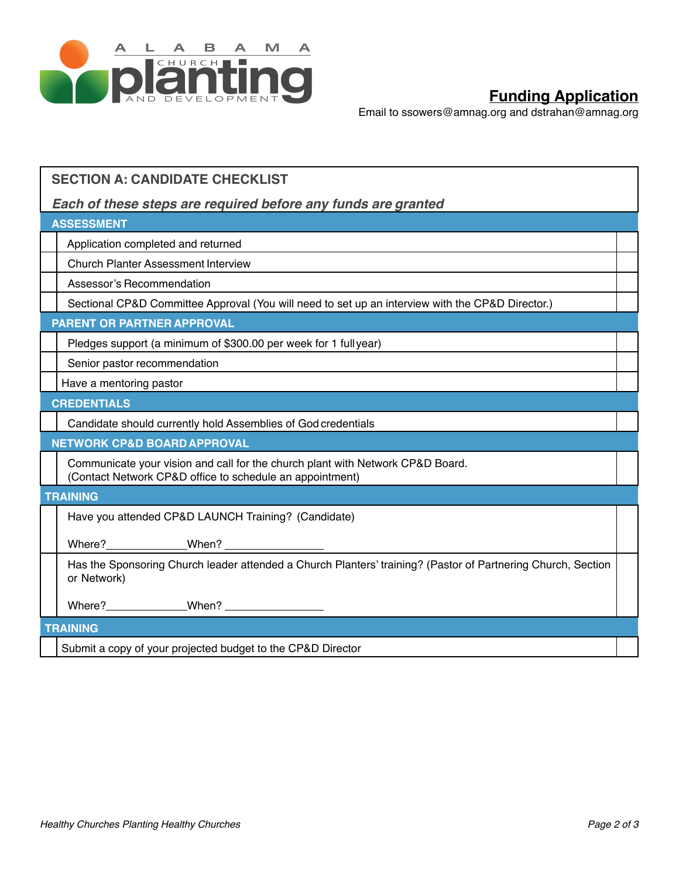

# **Funding Application**

Email to [ssowers@amnag.org](mailto:ssowers@amnag.org) and dstrahan@amnag.org

| <b>SECTION A: CANDIDATE CHECKLIST</b>                                                                                                      |  |
|--------------------------------------------------------------------------------------------------------------------------------------------|--|
| Each of these steps are required before any funds are granted                                                                              |  |
| <b>ASSESSMENT</b>                                                                                                                          |  |
| Application completed and returned                                                                                                         |  |
| <b>Church Planter Assessment Interview</b>                                                                                                 |  |
| Assessor's Recommendation                                                                                                                  |  |
| Sectional CP&D Committee Approval (You will need to set up an interview with the CP&D Director.)                                           |  |
| <b>PARENT OR PARTNER APPROVAL</b>                                                                                                          |  |
| Pledges support (a minimum of \$300.00 per week for 1 fullyear)                                                                            |  |
| Senior pastor recommendation                                                                                                               |  |
| Have a mentoring pastor                                                                                                                    |  |
| <b>CREDENTIALS</b>                                                                                                                         |  |
| Candidate should currently hold Assemblies of God credentials                                                                              |  |
| <b>NETWORK CP&amp;D BOARD APPROVAL</b>                                                                                                     |  |
| Communicate your vision and call for the church plant with Network CP&D Board.<br>(Contact Network CP&D office to schedule an appointment) |  |
| <b>TRAINING</b>                                                                                                                            |  |
| Have you attended CP&D LAUNCH Training? (Candidate)                                                                                        |  |
|                                                                                                                                            |  |
| Has the Sponsoring Church leader attended a Church Planters' training? (Pastor of Partnering Church, Section<br>or Network)                |  |
|                                                                                                                                            |  |
| <b>TRAINING</b>                                                                                                                            |  |
| Submit a copy of your projected budget to the CP&D Director                                                                                |  |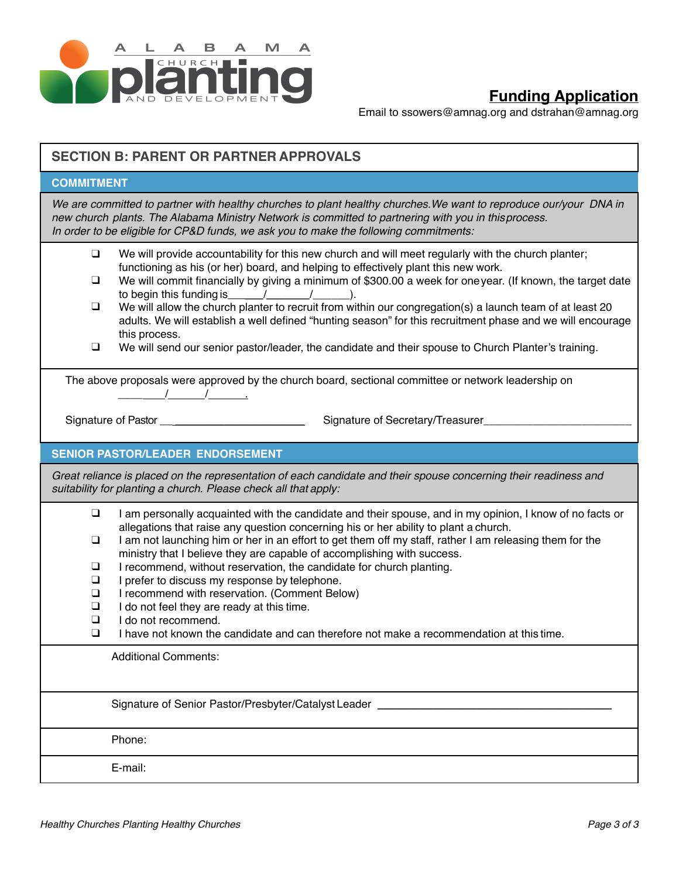

# **Funding Application**

Email to [ssowers@amnag.org](mailto:ssowers@amnag.org) and dstrahan@amnag.org

| <b>SECTION B: PARENT OR PARTNER APPROVALS</b>                                                                                                                                                                                                                                                                                                                                                                                                                                                                                                                                                                                                                                                                                                                                                           |  |  |
|---------------------------------------------------------------------------------------------------------------------------------------------------------------------------------------------------------------------------------------------------------------------------------------------------------------------------------------------------------------------------------------------------------------------------------------------------------------------------------------------------------------------------------------------------------------------------------------------------------------------------------------------------------------------------------------------------------------------------------------------------------------------------------------------------------|--|--|
| <b>COMMITMENT</b>                                                                                                                                                                                                                                                                                                                                                                                                                                                                                                                                                                                                                                                                                                                                                                                       |  |  |
| We are committed to partner with healthy churches to plant healthy churches. We want to reproduce our/your DNA in<br>new church plants. The Alabama Ministry Network is committed to partnering with you in thisprocess.<br>In order to be eligible for CP&D funds, we ask you to make the following commitments:                                                                                                                                                                                                                                                                                                                                                                                                                                                                                       |  |  |
| $\Box$<br>We will provide accountability for this new church and will meet regularly with the church planter;<br>functioning as his (or her) board, and helping to effectively plant this new work.<br>We will commit financially by giving a minimum of \$300.00 a week for one year. (If known, the target date<br>⊔<br>to begin this funding is $\frac{1}{2}$ $\frac{1}{2}$ $\frac{1}{2}$ $\frac{1}{2}$ .<br>We will allow the church planter to recruit from within our congregation(s) a launch team of at least 20<br>$\Box$<br>adults. We will establish a well defined "hunting season" for this recruitment phase and we will encourage<br>this process.<br>We will send our senior pastor/leader, the candidate and their spouse to Church Planter's training.<br>❏                           |  |  |
| The above proposals were approved by the church board, sectional committee or network leadership on<br>$\frac{1}{\sqrt{2}}$<br>Signature of Pastor __________________________<br>Signature of Secretary/Treasurer                                                                                                                                                                                                                                                                                                                                                                                                                                                                                                                                                                                       |  |  |
| <b>SENIOR PASTOR/LEADER ENDORSEMENT</b>                                                                                                                                                                                                                                                                                                                                                                                                                                                                                                                                                                                                                                                                                                                                                                 |  |  |
| Great reliance is placed on the representation of each candidate and their spouse concerning their readiness and<br>suitability for planting a church. Please check all that apply:                                                                                                                                                                                                                                                                                                                                                                                                                                                                                                                                                                                                                     |  |  |
| $\Box$<br>I am personally acquainted with the candidate and their spouse, and in my opinion, I know of no facts or<br>allegations that raise any question concerning his or her ability to plant a church.<br>I am not launching him or her in an effort to get them off my staff, rather I am releasing them for the<br>$\Box$<br>ministry that I believe they are capable of accomplishing with success.<br>I recommend, without reservation, the candidate for church planting.<br>$\Box$<br>I prefer to discuss my response by telephone.<br>❏<br>I recommend with reservation. (Comment Below)<br>$\Box$<br>I do not feel they are ready at this time.<br>❏<br>$\Box$<br>I do not recommend.<br>I have not known the candidate and can therefore not make a recommendation at this time.<br>$\Box$ |  |  |
| <b>Additional Comments:</b>                                                                                                                                                                                                                                                                                                                                                                                                                                                                                                                                                                                                                                                                                                                                                                             |  |  |
| Signature of Senior Pastor/Presbyter/Catalyst Leader ____________                                                                                                                                                                                                                                                                                                                                                                                                                                                                                                                                                                                                                                                                                                                                       |  |  |
| Phone:                                                                                                                                                                                                                                                                                                                                                                                                                                                                                                                                                                                                                                                                                                                                                                                                  |  |  |
| E-mail:                                                                                                                                                                                                                                                                                                                                                                                                                                                                                                                                                                                                                                                                                                                                                                                                 |  |  |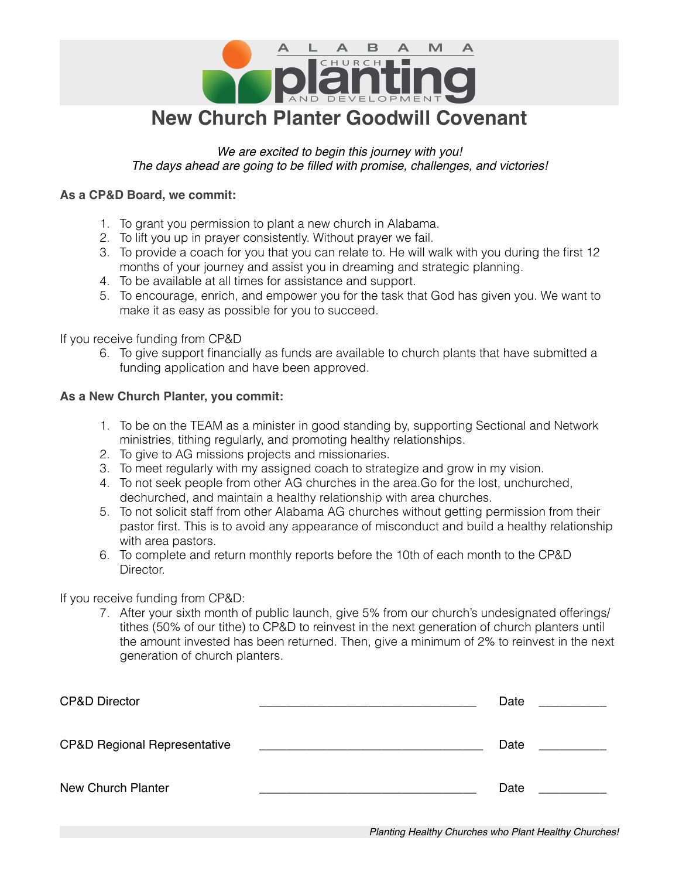

## *We are excited to begin this journey with you! The days ahead are going to be filled with promise, challenges, and victories!*

## **As a CP&D Board, we commit:**

- 1. To grant you permission to plant a new church in Alabama.
- 2. To lift you up in prayer consistently. Without prayer we fail.
- 3. To provide a coach for you that you can relate to. He will walk with you during the first 12 months of your journey and assist you in dreaming and strategic planning.
- 4. To be available at all times for assistance and support.
- 5. To encourage, enrich, and empower you for the task that God has given you. We want to make it as easy as possible for you to succeed.

If you receive funding from CP&D

6. To give support financially as funds are available to church plants that have submitted a funding application and have been approved.

### **As a New Church Planter, you commit:**

- 1. To be on the TEAM as a minister in good standing by, supporting Sectional and Network ministries, tithing regularly, and promoting healthy relationships.
- 2. To give to AG missions projects and missionaries.
- 3. To meet regularly with my assigned coach to strategize and grow in my vision.
- 4. To not seek people from other AG churches in the area.Go for the lost, unchurched, dechurched, and maintain a healthy relationship with area churches.
- 5. To not solicit staff from other Alabama AG churches without getting permission from their pastor first. This is to avoid any appearance of misconduct and build a healthy relationship with area pastors.
- 6. To complete and return monthly reports before the 10th of each month to the CP&D Director.

### If you receive funding from CP&D:

7. After your sixth month of public launch, give 5% from our church's undesignated offerings/ tithes (50% of our tithe) to CP&D to reinvest in the next generation of church planters until the amount invested has been returned. Then, give a minimum of 2% to reinvest in the next generation of church planters.

| <b>CP&amp;D Director</b>                | Date |
|-----------------------------------------|------|
| <b>CP&amp;D Regional Representative</b> | Date |
| New Church Planter                      | Date |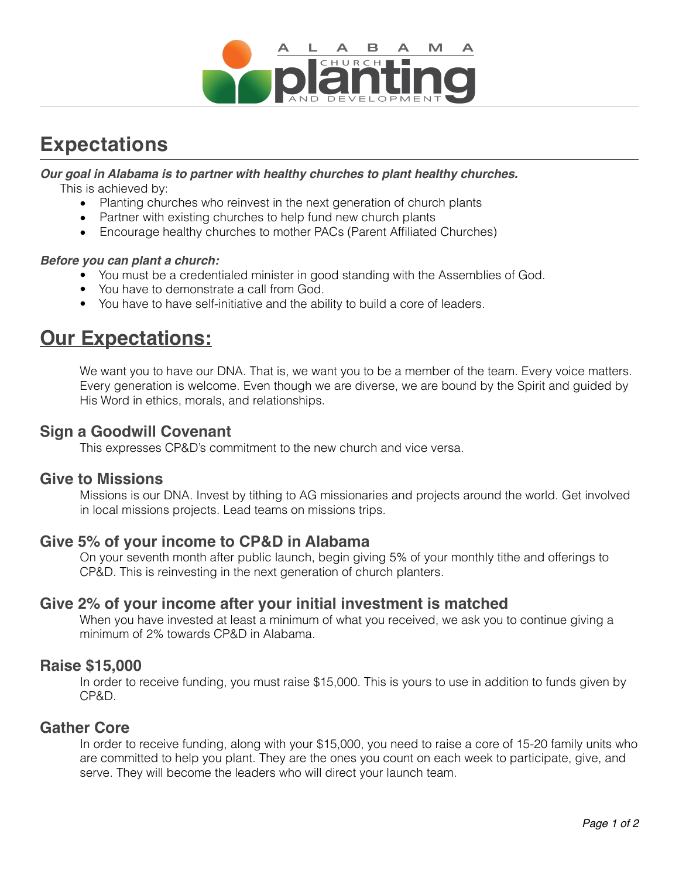

# **Expectations**

## *Our goal in Alabama is to partner with healthy churches to plant healthy churches.*

This is achieved by:

- Planting churches who reinvest in the next generation of church plants
- Partner with existing churches to help fund new church plants
- Encourage healthy churches to mother PACs (Parent Affiliated Churches)

### *Before you can plant a church:*

- You must be a credentialed minister in good standing with the Assemblies of God.
- You have to demonstrate a call from God.
- You have to have self-initiative and the ability to build a core of leaders.

# **Our Expectations:**

We want you to have our DNA. That is, we want you to be a member of the team. Every voice matters. Every generation is welcome. Even though we are diverse, we are bound by the Spirit and guided by His Word in ethics, morals, and relationships.

# **Sign a Goodwill Covenant**

This expresses CP&D's commitment to the new church and vice versa.

## **Give to Missions**

Missions is our DNA. Invest by tithing to AG missionaries and projects around the world. Get involved in local missions projects. Lead teams on missions trips.

# **Give 5% of your income to CP&D in Alabama**

On your seventh month after public launch, begin giving 5% of your monthly tithe and offerings to CP&D. This is reinvesting in the next generation of church planters.

## **Give 2% of your income after your initial investment is matched**

When you have invested at least a minimum of what you received, we ask you to continue giving a minimum of 2% towards CP&D in Alabama.

## **Raise \$15,000**

In order to receive funding, you must raise \$15,000. This is yours to use in addition to funds given by CP&D.

# **Gather Core**

In order to receive funding, along with your \$15,000, you need to raise a core of 15-20 family units who are committed to help you plant. They are the ones you count on each week to participate, give, and serve. They will become the leaders who will direct your launch team.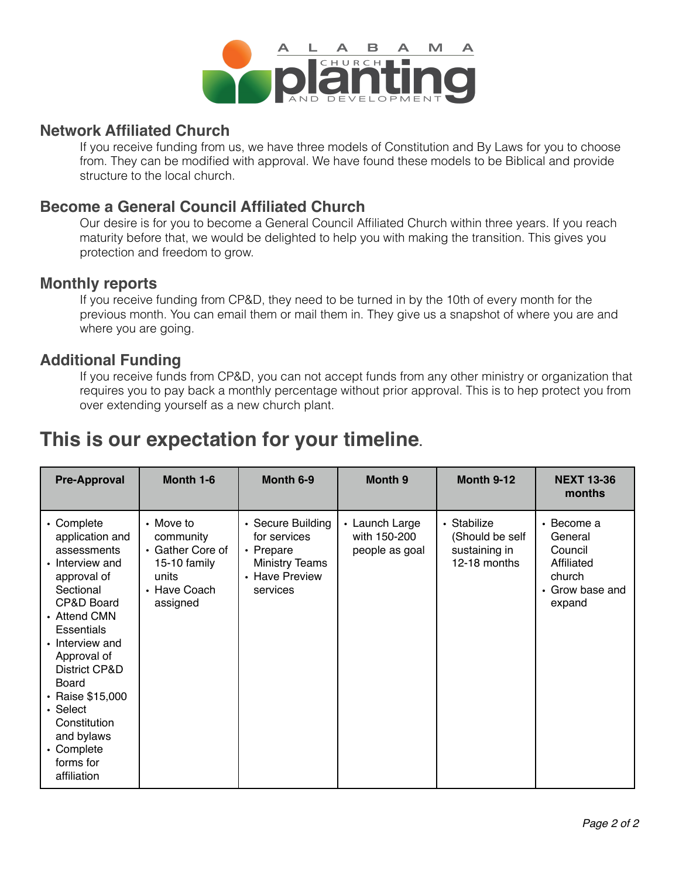

## **Network Affiliated Church**

If you receive funding from us, we have three models of Constitution and By Laws for you to choose from. They can be modified with approval. We have found these models to be Biblical and provide structure to the local church.

# **Become a General Council Affiliated Church**

Our desire is for you to become a General Council Affiliated Church within three years. If you reach maturity before that, we would be delighted to help you with making the transition. This gives you protection and freedom to grow.

## **Monthly reports**

If you receive funding from CP&D, they need to be turned in by the 10th of every month for the previous month. You can email them or mail them in. They give us a snapshot of where you are and where you are going.

## **Additional Funding**

If you receive funds from CP&D, you can not accept funds from any other ministry or organization that requires you to pay back a monthly percentage without prior approval. This is to hep protect you from over extending yourself as a new church plant.

# **This is our expectation for your timeline.**

| <b>Pre-Approval</b>                                                                                                                                                                                                                                                                                                | Month 1-6                                                                                       | Month 6-9                                                                                             | Month 9                                          | <b>Month 9-12</b>                                               | <b>NEXT 13-36</b><br>months                                                                            |
|--------------------------------------------------------------------------------------------------------------------------------------------------------------------------------------------------------------------------------------------------------------------------------------------------------------------|-------------------------------------------------------------------------------------------------|-------------------------------------------------------------------------------------------------------|--------------------------------------------------|-----------------------------------------------------------------|--------------------------------------------------------------------------------------------------------|
| • Complete<br>application and<br>assessments<br>• Interview and<br>approval of<br>Sectional<br>CP&D Board<br>• Attend CMN<br><b>Essentials</b><br>• Interview and<br>Approval of<br>District CP&D<br>Board<br>• Raise \$15,000<br>• Select<br>Constitution<br>and bylaws<br>• Complete<br>forms for<br>affiliation | • Move to<br>community<br>• Gather Core of<br>15-10 family<br>units<br>• Have Coach<br>assigned | • Secure Building<br>for services<br>• Prepare<br><b>Ministry Teams</b><br>• Have Preview<br>services | • Launch Large<br>with 150-200<br>people as goal | • Stabilize<br>(Should be self<br>sustaining in<br>12-18 months | $\cdot$ Become a<br>General<br>Council<br>Affiliated<br>church<br>Grow base and<br>$\bullet$<br>expand |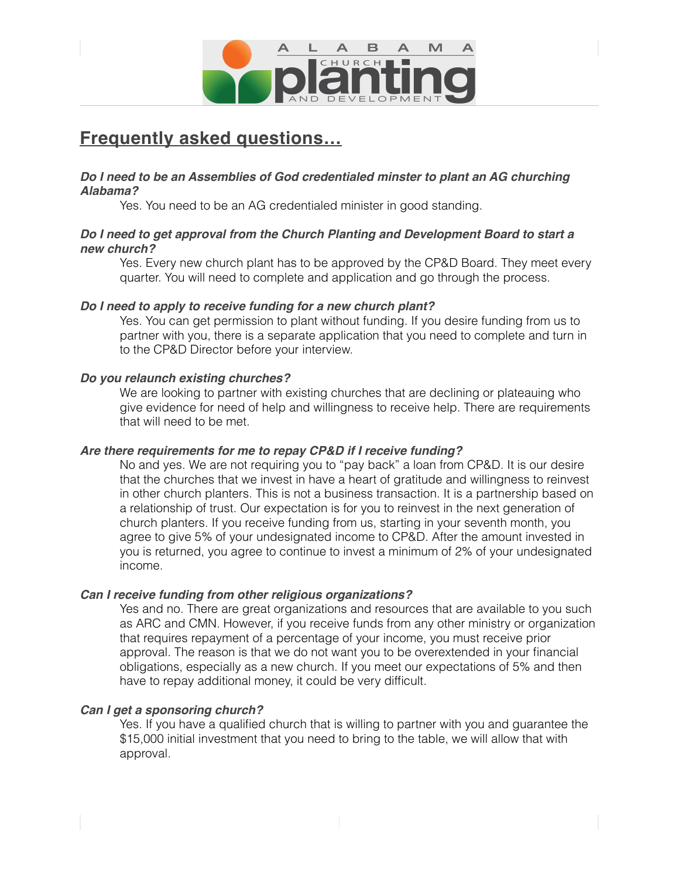

# **Frequently asked questions…**

### *Do I need to be an Assemblies of God credentialed minster to plant an AG churching Alabama?*

Yes. You need to be an AG credentialed minister in good standing.

## *Do I need to get approval from the Church Planting and Development Board to start a new church?*

Yes. Every new church plant has to be approved by the CP&D Board. They meet every quarter. You will need to complete and application and go through the process.

### *Do I need to apply to receive funding for a new church plant?*

Yes. You can get permission to plant without funding. If you desire funding from us to partner with you, there is a separate application that you need to complete and turn in to the CP&D Director before your interview.

## *Do you relaunch existing churches?*

We are looking to partner with existing churches that are declining or plateauing who give evidence for need of help and willingness to receive help. There are requirements that will need to be met.

### *Are there requirements for me to repay CP&D if I receive funding?*

No and yes. We are not requiring you to "pay back" a loan from CP&D. It is our desire that the churches that we invest in have a heart of gratitude and willingness to reinvest in other church planters. This is not a business transaction. It is a partnership based on a relationship of trust. Our expectation is for you to reinvest in the next generation of church planters. If you receive funding from us, starting in your seventh month, you agree to give 5% of your undesignated income to CP&D. After the amount invested in you is returned, you agree to continue to invest a minimum of 2% of your undesignated income.

### *Can I receive funding from other religious organizations?*

Yes and no. There are great organizations and resources that are available to you such as ARC and CMN. However, if you receive funds from any other ministry or organization that requires repayment of a percentage of your income, you must receive prior approval. The reason is that we do not want you to be overextended in your financial obligations, especially as a new church. If you meet our expectations of 5% and then have to repay additional money, it could be very difficult.

### *Can I get a sponsoring church?*

Yes. If you have a qualified church that is willing to partner with you and guarantee the \$15,000 initial investment that you need to bring to the table, we will allow that with approval.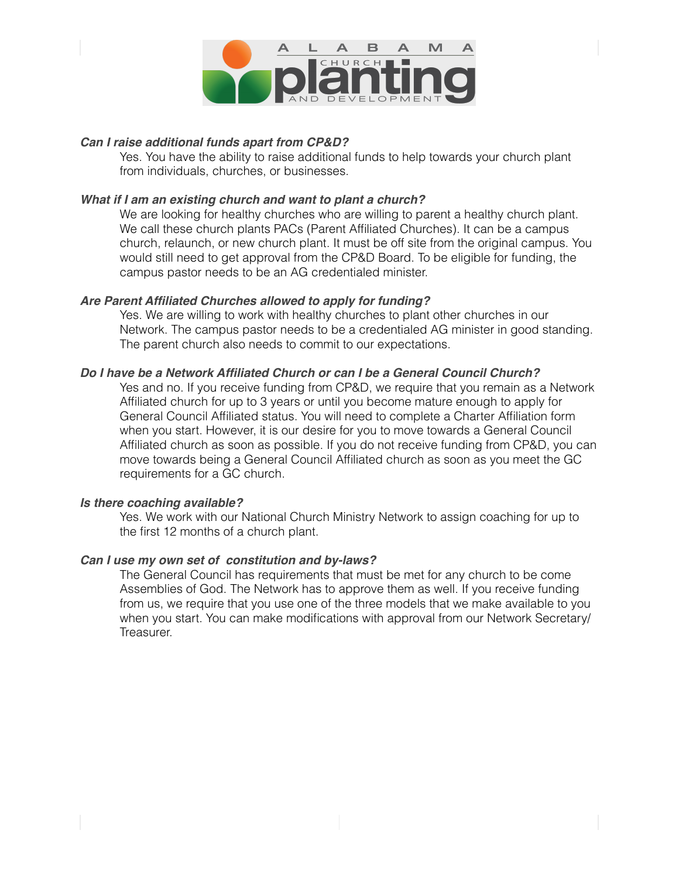

### *Can I raise additional funds apart from CP&D?*

Yes. You have the ability to raise additional funds to help towards your church plant from individuals, churches, or businesses.

#### *What if I am an existing church and want to plant a church?*

We are looking for healthy churches who are willing to parent a healthy church plant. We call these church plants PACs (Parent Affiliated Churches). It can be a campus church, relaunch, or new church plant. It must be off site from the original campus. You would still need to get approval from the CP&D Board. To be eligible for funding, the campus pastor needs to be an AG credentialed minister.

### *Are Parent Affiliated Churches allowed to apply for funding?*

Yes. We are willing to work with healthy churches to plant other churches in our Network. The campus pastor needs to be a credentialed AG minister in good standing. The parent church also needs to commit to our expectations.

### *Do I have be a Network Affiliated Church or can I be a General Council Church?*

Yes and no. If you receive funding from CP&D, we require that you remain as a Network Affiliated church for up to 3 years or until you become mature enough to apply for General Council Affiliated status. You will need to complete a Charter Affiliation form when you start. However, it is our desire for you to move towards a General Council Affiliated church as soon as possible. If you do not receive funding from CP&D, you can move towards being a General Council Affiliated church as soon as you meet the GC requirements for a GC church.

#### *Is there coaching available?*

Yes. We work with our National Church Ministry Network to assign coaching for up to the first 12 months of a church plant.

#### *Can I use my own set of constitution and by-laws?*

The General Council has requirements that must be met for any church to be come Assemblies of God. The Network has to approve them as well. If you receive funding from us, we require that you use one of the three models that we make available to you when you start. You can make modifications with approval from our Network Secretary/ Treasurer.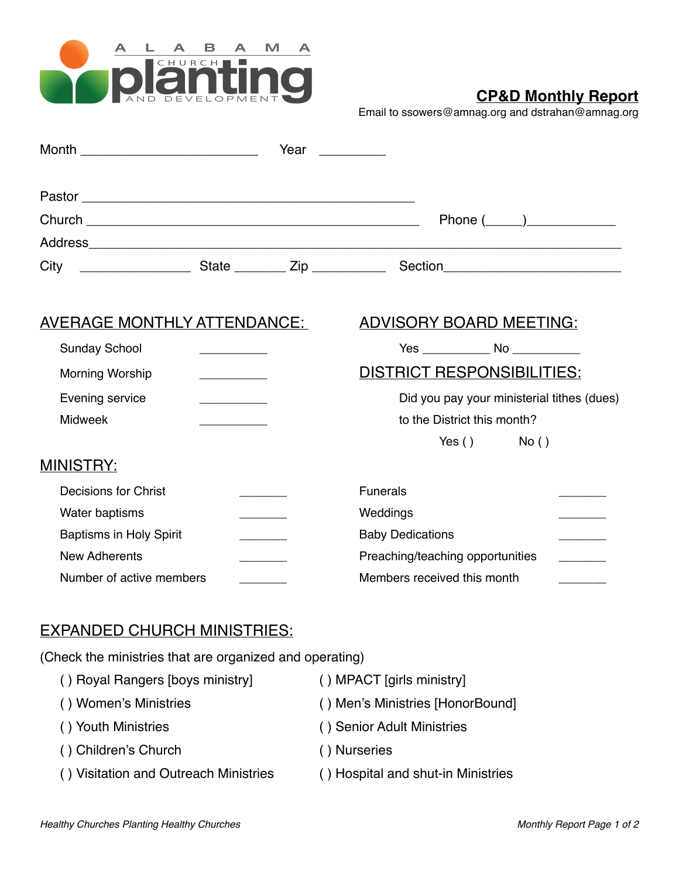

# **CP&D Monthly Report**

Email to [ssowers@amnag.org](mailto:ssowers@amnag.org) and dstrahan@amnag.org

| Month _______________________________ |                                   | Year Near                                  |
|---------------------------------------|-----------------------------------|--------------------------------------------|
|                                       |                                   |                                            |
|                                       |                                   | Phone $(\_\_)$                             |
|                                       |                                   |                                            |
|                                       |                                   |                                            |
| <u>AVERAGE MONTHLY ATTENDANCE:</u>    |                                   | <b>ADVISORY BOARD MEETING:</b>             |
| <b>Sunday School</b>                  |                                   |                                            |
| Morning Worship                       |                                   | <b>DISTRICT RESPONSIBILITIES:</b>          |
| Evening service                       | the control of the control of the | Did you pay your ministerial tithes (dues) |
| <b>Midweek</b>                        |                                   | to the District this month?                |
|                                       |                                   | $Yes()$ No ()                              |
| <b>MINISTRY:</b>                      |                                   |                                            |
| Decisions for Christ                  |                                   | <b>Funerals</b>                            |
| Water baptisms                        |                                   | Weddings                                   |
| <b>Baptisms in Holy Spirit</b>        |                                   | <b>Baby Dedications</b>                    |
| <b>New Adherents</b>                  |                                   | Preaching/teaching opportunities           |
| Number of active members              |                                   | Members received this month                |

# EXPANDED CHURCH MINISTRIES:

(Check the ministries that are organized and operating)

| () Royal Rangers [boys ministry]      | () MPACT [girls ministry]          |
|---------------------------------------|------------------------------------|
| () Women's Ministries                 | () Men's Ministries [HonorBound]   |
| () Youth Ministries                   | () Senior Adult Ministries         |
| () Children's Church                  | () Nurseries                       |
| () Visitation and Outreach Ministries | () Hospital and shut-in Ministries |